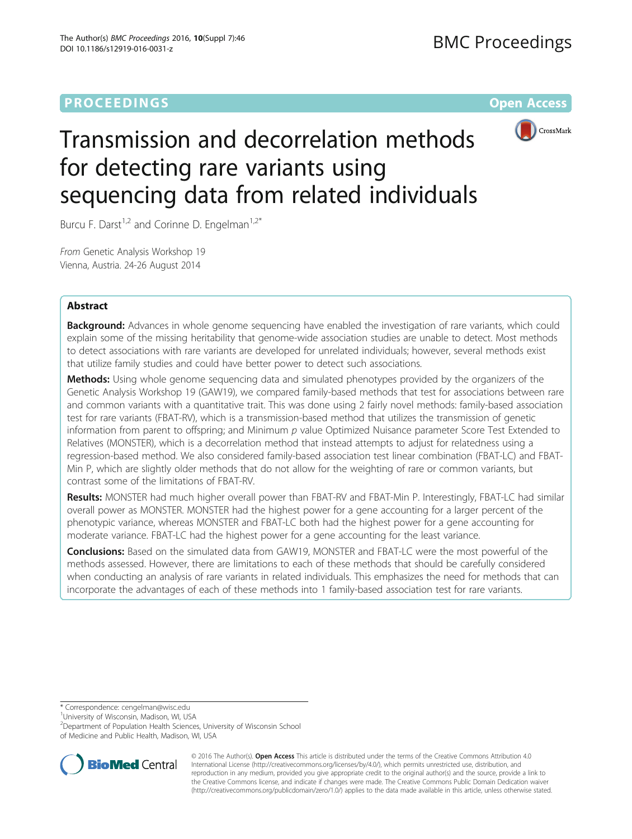# **PROCEEDINGS CONSUMING S** Open Access **CONSUMING S**



# Transmission and decorrelation methods for detecting rare variants using sequencing data from related individuals

Burcu F. Darst<sup>1,2</sup> and Corinne D. Engelman<sup>1,2\*</sup>

From Genetic Analysis Workshop 19 Vienna, Austria. 24-26 August 2014

## Abstract

**Background:** Advances in whole genome sequencing have enabled the investigation of rare variants, which could explain some of the missing heritability that genome-wide association studies are unable to detect. Most methods to detect associations with rare variants are developed for unrelated individuals; however, several methods exist that utilize family studies and could have better power to detect such associations.

**Methods:** Using whole genome sequencing data and simulated phenotypes provided by the organizers of the Genetic Analysis Workshop 19 (GAW19), we compared family-based methods that test for associations between rare and common variants with a quantitative trait. This was done using 2 fairly novel methods: family-based association test for rare variants (FBAT-RV), which is a transmission-based method that utilizes the transmission of genetic information from parent to offspring; and Minimum  $p$  value Optimized Nuisance parameter Score Test Extended to Relatives (MONSTER), which is a decorrelation method that instead attempts to adjust for relatedness using a regression-based method. We also considered family-based association test linear combination (FBAT-LC) and FBAT-Min P, which are slightly older methods that do not allow for the weighting of rare or common variants, but contrast some of the limitations of FBAT-RV.

Results: MONSTER had much higher overall power than FBAT-RV and FBAT-Min P. Interestingly, FBAT-LC had similar overall power as MONSTER. MONSTER had the highest power for a gene accounting for a larger percent of the phenotypic variance, whereas MONSTER and FBAT-LC both had the highest power for a gene accounting for moderate variance. FBAT-LC had the highest power for a gene accounting for the least variance.

**Conclusions:** Based on the simulated data from GAW19, MONSTER and FBAT-LC were the most powerful of the methods assessed. However, there are limitations to each of these methods that should be carefully considered when conducting an analysis of rare variants in related individuals. This emphasizes the need for methods that can incorporate the advantages of each of these methods into 1 family-based association test for rare variants.

\* Correspondence: [cengelman@wisc.edu](mailto:cengelman@wisc.edu) <sup>1</sup>

<sup>1</sup>University of Wisconsin, Madison, WI, USA

<sup>2</sup>Department of Population Health Sciences, University of Wisconsin School of Medicine and Public Health, Madison, WI, USA



© 2016 The Author(s). Open Access This article is distributed under the terms of the Creative Commons Attribution 4.0 International License [\(http://creativecommons.org/licenses/by/4.0/](http://creativecommons.org/licenses/by/4.0/)), which permits unrestricted use, distribution, and reproduction in any medium, provided you give appropriate credit to the original author(s) and the source, provide a link to the Creative Commons license, and indicate if changes were made. The Creative Commons Public Domain Dedication waiver [\(http://creativecommons.org/publicdomain/zero/1.0/](http://creativecommons.org/publicdomain/zero/1.0/)) applies to the data made available in this article, unless otherwise stated.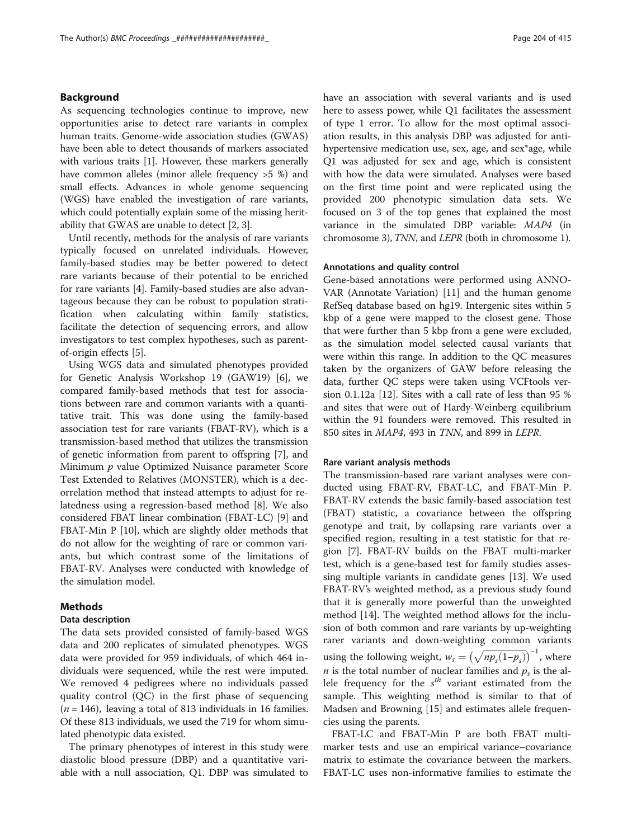#### Background

As sequencing technologies continue to improve, new opportunities arise to detect rare variants in complex human traits. Genome-wide association studies (GWAS) have been able to detect thousands of markers associated with various traits [\[1](#page-4-0)]. However, these markers generally have common alleles (minor allele frequency >5 %) and small effects. Advances in whole genome sequencing (WGS) have enabled the investigation of rare variants, which could potentially explain some of the missing heritability that GWAS are unable to detect [\[2](#page-4-0), [3\]](#page-4-0).

Until recently, methods for the analysis of rare variants typically focused on unrelated individuals. However, family-based studies may be better powered to detect rare variants because of their potential to be enriched for rare variants [\[4](#page-4-0)]. Family-based studies are also advantageous because they can be robust to population stratification when calculating within family statistics, facilitate the detection of sequencing errors, and allow investigators to test complex hypotheses, such as parentof-origin effects [\[5](#page-4-0)].

Using WGS data and simulated phenotypes provided for Genetic Analysis Workshop 19 (GAW19) [[6](#page-4-0)], we compared family-based methods that test for associations between rare and common variants with a quantitative trait. This was done using the family-based association test for rare variants (FBAT-RV), which is a transmission-based method that utilizes the transmission of genetic information from parent to offspring [[7\]](#page-4-0), and Minimum p value Optimized Nuisance parameter Score Test Extended to Relatives (MONSTER), which is a decorrelation method that instead attempts to adjust for relatedness using a regression-based method [\[8](#page-4-0)]. We also considered FBAT linear combination (FBAT-LC) [\[9](#page-4-0)] and FBAT-Min P [\[10](#page-4-0)], which are slightly older methods that do not allow for the weighting of rare or common variants, but which contrast some of the limitations of FBAT-RV. Analyses were conducted with knowledge of the simulation model.

### Methods

### Data description

The data sets provided consisted of family-based WGS data and 200 replicates of simulated phenotypes. WGS data were provided for 959 individuals, of which 464 individuals were sequenced, while the rest were imputed. We removed 4 pedigrees where no individuals passed quality control (QC) in the first phase of sequencing  $(n = 146)$ , leaving a total of 813 individuals in 16 families. Of these 813 individuals, we used the 719 for whom simulated phenotypic data existed.

The primary phenotypes of interest in this study were diastolic blood pressure (DBP) and a quantitative variable with a null association, Q1. DBP was simulated to have an association with several variants and is used here to assess power, while Q1 facilitates the assessment of type 1 error. To allow for the most optimal association results, in this analysis DBP was adjusted for antihypertensive medication use, sex, age, and sex\*age, while Q1 was adjusted for sex and age, which is consistent with how the data were simulated. Analyses were based on the first time point and were replicated using the provided 200 phenotypic simulation data sets. We focused on 3 of the top genes that explained the most variance in the simulated DBP variable: MAP4 (in chromosome 3), TNN, and LEPR (both in chromosome 1).

#### Annotations and quality control

Gene-based annotations were performed using ANNO-VAR (Annotate Variation) [\[11](#page-4-0)] and the human genome RefSeq database based on hg19. Intergenic sites within 5 kbp of a gene were mapped to the closest gene. Those that were further than 5 kbp from a gene were excluded, as the simulation model selected causal variants that were within this range. In addition to the QC measures taken by the organizers of GAW before releasing the data, further QC steps were taken using VCFtools version 0.1.12a [\[12\]](#page-4-0). Sites with a call rate of less than 95 % and sites that were out of Hardy-Weinberg equilibrium within the 91 founders were removed. This resulted in 850 sites in MAP4, 493 in TNN, and 899 in LEPR.

#### Rare variant analysis methods

The transmission-based rare variant analyses were conducted using FBAT-RV, FBAT-LC, and FBAT-Min P. FBAT-RV extends the basic family-based association test (FBAT) statistic, a covariance between the offspring genotype and trait, by collapsing rare variants over a specified region, resulting in a test statistic for that region [[7\]](#page-4-0). FBAT-RV builds on the FBAT multi-marker test, which is a gene-based test for family studies assessing multiple variants in candidate genes [[13\]](#page-4-0). We used FBAT-RV's weighted method, as a previous study found that it is generally more powerful than the unweighted method [[14](#page-4-0)]. The weighted method allows for the inclusion of both common and rare variants by up-weighting rarer variants and down-weighting common variants using the following weight,  $w_s = (\sqrt{np_s(1-p_s)})^{-1}$ , where *n* is the total number of nuclear families and  $p_s$  is the allele frequency for the  $s^{th}$  variant estimated from the sample. This weighting method is similar to that of Madsen and Browning [\[15](#page-4-0)] and estimates allele frequencies using the parents.

FBAT-LC and FBAT-Min P are both FBAT multimarker tests and use an empirical variance–covariance matrix to estimate the covariance between the markers. FBAT-LC uses non-informative families to estimate the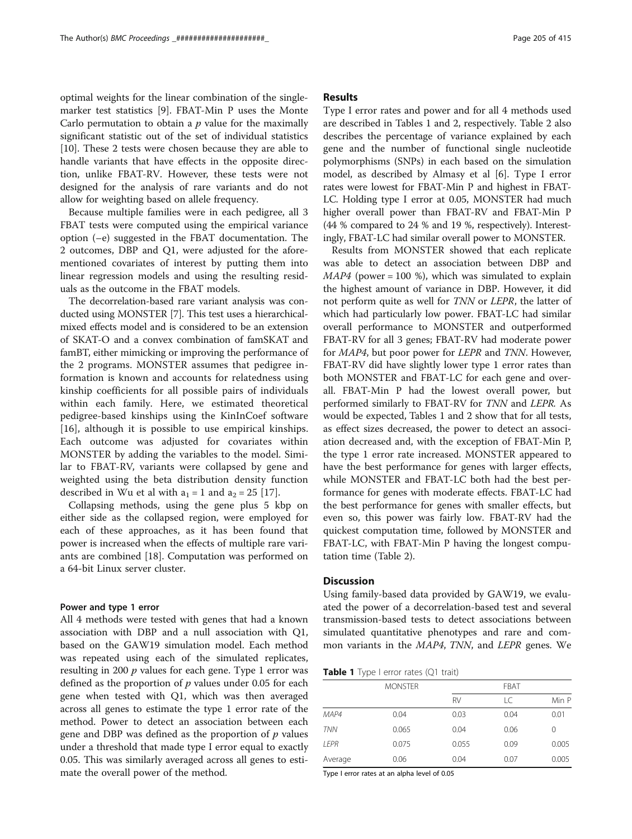optimal weights for the linear combination of the singlemarker test statistics [[9\]](#page-4-0). FBAT-Min P uses the Monte Carlo permutation to obtain a  $p$  value for the maximally significant statistic out of the set of individual statistics [[10\]](#page-4-0). These 2 tests were chosen because they are able to handle variants that have effects in the opposite direction, unlike FBAT-RV. However, these tests were not designed for the analysis of rare variants and do not allow for weighting based on allele frequency.

Because multiple families were in each pedigree, all 3 FBAT tests were computed using the empirical variance option (–e) suggested in the FBAT documentation. The 2 outcomes, DBP and Q1, were adjusted for the aforementioned covariates of interest by putting them into linear regression models and using the resulting residuals as the outcome in the FBAT models.

The decorrelation-based rare variant analysis was conducted using MONSTER [\[7](#page-4-0)]. This test uses a hierarchicalmixed effects model and is considered to be an extension of SKAT-O and a convex combination of famSKAT and famBT, either mimicking or improving the performance of the 2 programs. MONSTER assumes that pedigree information is known and accounts for relatedness using kinship coefficients for all possible pairs of individuals within each family. Here, we estimated theoretical pedigree-based kinships using the KinInCoef software [[16\]](#page-4-0), although it is possible to use empirical kinships. Each outcome was adjusted for covariates within MONSTER by adding the variables to the model. Similar to FBAT-RV, variants were collapsed by gene and weighted using the beta distribution density function described in Wu et al with  $a_1 = 1$  and  $a_2 = 25$  [[17\]](#page-4-0).

Collapsing methods, using the gene plus 5 kbp on either side as the collapsed region, were employed for each of these approaches, as it has been found that power is increased when the effects of multiple rare variants are combined [[18](#page-4-0)]. Computation was performed on a 64-bit Linux server cluster.

#### Power and type 1 error

All 4 methods were tested with genes that had a known association with DBP and a null association with Q1, based on the GAW19 simulation model. Each method was repeated using each of the simulated replicates, resulting in 200  $p$  values for each gene. Type 1 error was defined as the proportion of  $p$  values under 0.05 for each gene when tested with Q1, which was then averaged across all genes to estimate the type 1 error rate of the method. Power to detect an association between each gene and DBP was defined as the proportion of  $p$  values under a threshold that made type I error equal to exactly 0.05. This was similarly averaged across all genes to estimate the overall power of the method.

### Results

Type I error rates and power and for all 4 methods used are described in Tables 1 and [2](#page-3-0), respectively. Table [2](#page-3-0) also describes the percentage of variance explained by each gene and the number of functional single nucleotide polymorphisms (SNPs) in each based on the simulation model, as described by Almasy et al [[6\]](#page-4-0). Type I error rates were lowest for FBAT-Min P and highest in FBAT-LC. Holding type I error at 0.05, MONSTER had much higher overall power than FBAT-RV and FBAT-Min P (44 % compared to 24 % and 19 %, respectively). Interestingly, FBAT-LC had similar overall power to MONSTER.

Results from MONSTER showed that each replicate was able to detect an association between DBP and  $MAP4$  (power = 100 %), which was simulated to explain the highest amount of variance in DBP. However, it did not perform quite as well for TNN or LEPR, the latter of which had particularly low power. FBAT-LC had similar overall performance to MONSTER and outperformed FBAT-RV for all 3 genes; FBAT-RV had moderate power for *MAP4*, but poor power for *LEPR* and *TNN*. However, FBAT-RV did have slightly lower type 1 error rates than both MONSTER and FBAT-LC for each gene and overall. FBAT-Min P had the lowest overall power, but performed similarly to FBAT-RV for TNN and LEPR. As would be expected, Tables 1 and [2](#page-3-0) show that for all tests, as effect sizes decreased, the power to detect an association decreased and, with the exception of FBAT-Min P, the type 1 error rate increased. MONSTER appeared to have the best performance for genes with larger effects, while MONSTER and FBAT-LC both had the best performance for genes with moderate effects. FBAT-LC had the best performance for genes with smaller effects, but even so, this power was fairly low. FBAT-RV had the quickest computation time, followed by MONSTER and FBAT-LC, with FBAT-Min P having the longest computation time (Table [2\)](#page-3-0).

#### **Discussion**

Using family-based data provided by GAW19, we evaluated the power of a decorrelation-based test and several transmission-based tests to detect associations between simulated quantitative phenotypes and rare and common variants in the MAP4, TNN, and LEPR genes. We

| Table 1 Type I error rates (Q1 trait) |  |  |  |  |  |  |  |
|---------------------------------------|--|--|--|--|--|--|--|
|---------------------------------------|--|--|--|--|--|--|--|

|             | <b>MONSTER</b> | FBAT      |      |       |  |  |
|-------------|----------------|-----------|------|-------|--|--|
|             |                | <b>RV</b> | LC   | Min P |  |  |
| MAP4        | 0.04           | 0.03      | 0.04 | 0.01  |  |  |
| <b>TNN</b>  | 0.065          | 0.04      | 0.06 | 0     |  |  |
| <b>IFPR</b> | 0.075          | 0.055     | 0.09 | 0.005 |  |  |
| Average     | 0.06           | 0.04      | 0.07 | 0.005 |  |  |

Type I error rates at an alpha level of 0.05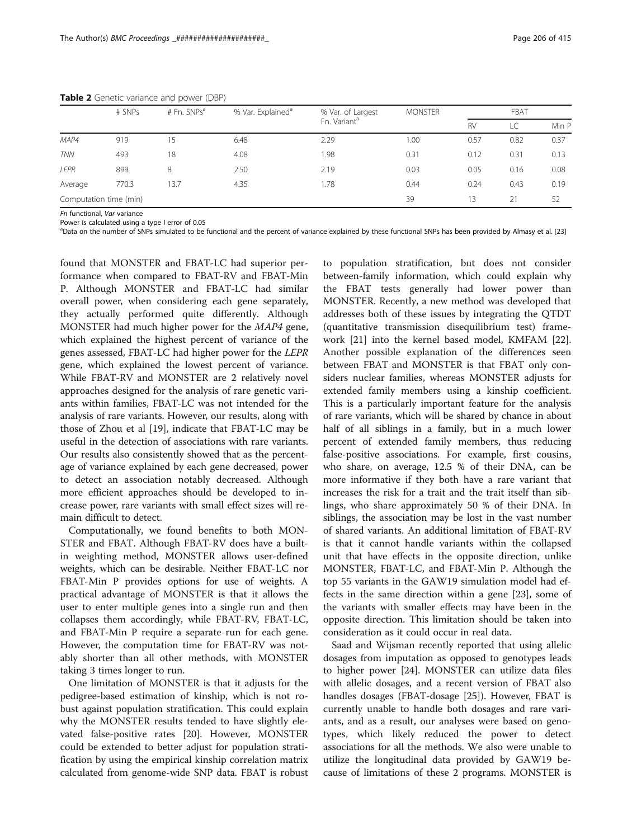|                        | # SNPs | # Fn. $SNPs^a$ | % Var. Explained <sup>a</sup> | % Var. of Largest        | <b>MONSTER</b> | FBAT      |      |       |
|------------------------|--------|----------------|-------------------------------|--------------------------|----------------|-----------|------|-------|
|                        |        |                |                               | Fn. Variant <sup>a</sup> |                | <b>RV</b> |      | Min P |
| MAP4                   | 919    | 15             | 6.48                          | 2.29                     | 1.00           | 0.57      | 0.82 | 0.37  |
| <b>TNN</b>             | 493    | 18             | 4.08                          | .98                      | 0.31           | 0.12      | 0.31 | 0.13  |
| LEPR                   | 899    | 8              | 2.50                          | 2.19                     | 0.03           | 0.05      | 0.16 | 0.08  |
| Average                | 770.3  | 13.7           | 4.35                          | 1.78                     | 0.44           | 0.24      | 0.43 | 0.19  |
| Computation time (min) |        |                |                               | 39                       | 13             | 21        | 52   |       |

<span id="page-3-0"></span>Table 2 Genetic variance and power (DBP)

Fn functional, Var variance

Power is calculated using a type I error of 0.05

<sup>a</sup>Data on the number of SNPs simulated to be functional and the percent of variance explained by these functional SNPs has been provided by Almasy et al. [[23](#page-4-0)]

found that MONSTER and FBAT-LC had superior performance when compared to FBAT-RV and FBAT-Min P. Although MONSTER and FBAT-LC had similar overall power, when considering each gene separately, they actually performed quite differently. Although MONSTER had much higher power for the MAP4 gene, which explained the highest percent of variance of the genes assessed, FBAT-LC had higher power for the LEPR gene, which explained the lowest percent of variance. While FBAT-RV and MONSTER are 2 relatively novel approaches designed for the analysis of rare genetic variants within families, FBAT-LC was not intended for the analysis of rare variants. However, our results, along with those of Zhou et al [[19\]](#page-4-0), indicate that FBAT-LC may be useful in the detection of associations with rare variants. Our results also consistently showed that as the percentage of variance explained by each gene decreased, power to detect an association notably decreased. Although more efficient approaches should be developed to increase power, rare variants with small effect sizes will remain difficult to detect.

Computationally, we found benefits to both MON-STER and FBAT. Although FBAT-RV does have a builtin weighting method, MONSTER allows user-defined weights, which can be desirable. Neither FBAT-LC nor FBAT-Min P provides options for use of weights. A practical advantage of MONSTER is that it allows the user to enter multiple genes into a single run and then collapses them accordingly, while FBAT-RV, FBAT-LC, and FBAT-Min P require a separate run for each gene. However, the computation time for FBAT-RV was notably shorter than all other methods, with MONSTER taking 3 times longer to run.

One limitation of MONSTER is that it adjusts for the pedigree-based estimation of kinship, which is not robust against population stratification. This could explain why the MONSTER results tended to have slightly elevated false-positive rates [\[20](#page-4-0)]. However, MONSTER could be extended to better adjust for population stratification by using the empirical kinship correlation matrix calculated from genome-wide SNP data. FBAT is robust

to population stratification, but does not consider between-family information, which could explain why the FBAT tests generally had lower power than MONSTER. Recently, a new method was developed that addresses both of these issues by integrating the QTDT (quantitative transmission disequilibrium test) framework [\[21\]](#page-4-0) into the kernel based model, KMFAM [\[22](#page-4-0)]. Another possible explanation of the differences seen between FBAT and MONSTER is that FBAT only considers nuclear families, whereas MONSTER adjusts for extended family members using a kinship coefficient. This is a particularly important feature for the analysis of rare variants, which will be shared by chance in about half of all siblings in a family, but in a much lower percent of extended family members, thus reducing false-positive associations. For example, first cousins, who share, on average, 12.5 % of their DNA, can be more informative if they both have a rare variant that increases the risk for a trait and the trait itself than siblings, who share approximately 50 % of their DNA. In siblings, the association may be lost in the vast number of shared variants. An additional limitation of FBAT-RV is that it cannot handle variants within the collapsed unit that have effects in the opposite direction, unlike MONSTER, FBAT-LC, and FBAT-Min P. Although the top 55 variants in the GAW19 simulation model had effects in the same direction within a gene [\[23\]](#page-4-0), some of the variants with smaller effects may have been in the opposite direction. This limitation should be taken into consideration as it could occur in real data.

Saad and Wijsman recently reported that using allelic dosages from imputation as opposed to genotypes leads to higher power [[24\]](#page-4-0). MONSTER can utilize data files with allelic dosages, and a recent version of FBAT also handles dosages (FBAT-dosage [\[25\]](#page-4-0)). However, FBAT is currently unable to handle both dosages and rare variants, and as a result, our analyses were based on genotypes, which likely reduced the power to detect associations for all the methods. We also were unable to utilize the longitudinal data provided by GAW19 because of limitations of these 2 programs. MONSTER is